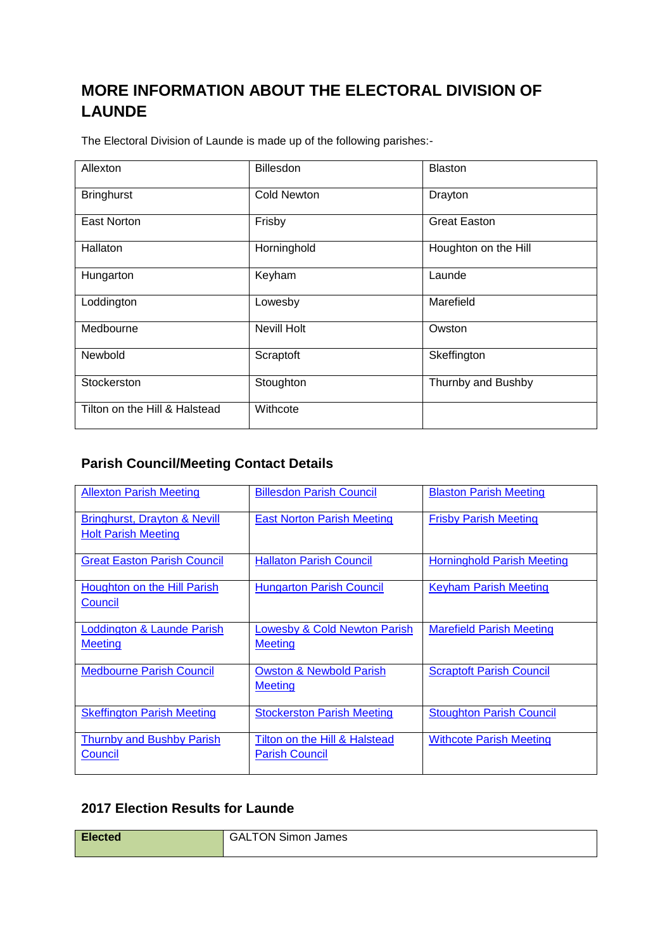## **MORE INFORMATION ABOUT THE ELECTORAL DIVISION OF LAUNDE**

The Electoral Division of Launde is made up of the following parishes:-

| Allexton                      | <b>Billesdon</b>   | Blaston              |  |
|-------------------------------|--------------------|----------------------|--|
| <b>Bringhurst</b>             | <b>Cold Newton</b> | Drayton              |  |
| East Norton                   | Frisby             | <b>Great Easton</b>  |  |
| Hallaton                      | Horninghold        | Houghton on the Hill |  |
| Hungarton                     | Keyham             | Launde               |  |
| Loddington                    | Lowesby            | Marefield            |  |
| Medbourne                     | <b>Nevill Holt</b> | Owston               |  |
| Newbold                       | Scraptoft          | Skeffington          |  |
| Stockerston                   | Stoughton          | Thurnby and Bushby   |  |
| Tilton on the Hill & Halstead | Withcote           |                      |  |

## **Parish Council/Meeting Contact Details**

| <b>Allexton Parish Meeting</b>          | <b>Billesdon Parish Council</b>         | <b>Blaston Parish Meeting</b>     |
|-----------------------------------------|-----------------------------------------|-----------------------------------|
|                                         |                                         |                                   |
| <b>Bringhurst, Drayton &amp; Nevill</b> | <b>East Norton Parish Meeting</b>       | <b>Frisby Parish Meeting</b>      |
| <b>Holt Parish Meeting</b>              |                                         |                                   |
| <b>Great Easton Parish Council</b>      | <b>Hallaton Parish Council</b>          | <b>Horninghold Parish Meeting</b> |
| Houghton on the Hill Parish             | <b>Hungarton Parish Council</b>         | <b>Keyham Parish Meeting</b>      |
| Council                                 |                                         |                                   |
|                                         |                                         |                                   |
| Loddington & Launde Parish              | <b>Lowesby &amp; Cold Newton Parish</b> | <b>Marefield Parish Meeting</b>   |
| <b>Meeting</b>                          | <b>Meeting</b>                          |                                   |
| <b>Medbourne Parish Council</b>         | <b>Owston &amp; Newbold Parish</b>      | <b>Scraptoft Parish Council</b>   |
|                                         | <b>Meeting</b>                          |                                   |
|                                         |                                         |                                   |
| <b>Skeffington Parish Meeting</b>       | <b>Stockerston Parish Meeting</b>       | <b>Stoughton Parish Council</b>   |
|                                         |                                         |                                   |
| <b>Thurnby and Bushby Parish</b>        | Tilton on the Hill & Halstead           | <b>Withcote Parish Meeting</b>    |
| Council                                 | <b>Parish Council</b>                   |                                   |
|                                         |                                         |                                   |

## **2017 Election Results for Launde**

| <b>Elected</b> | GALTON Simon James |
|----------------|--------------------|
|                |                    |